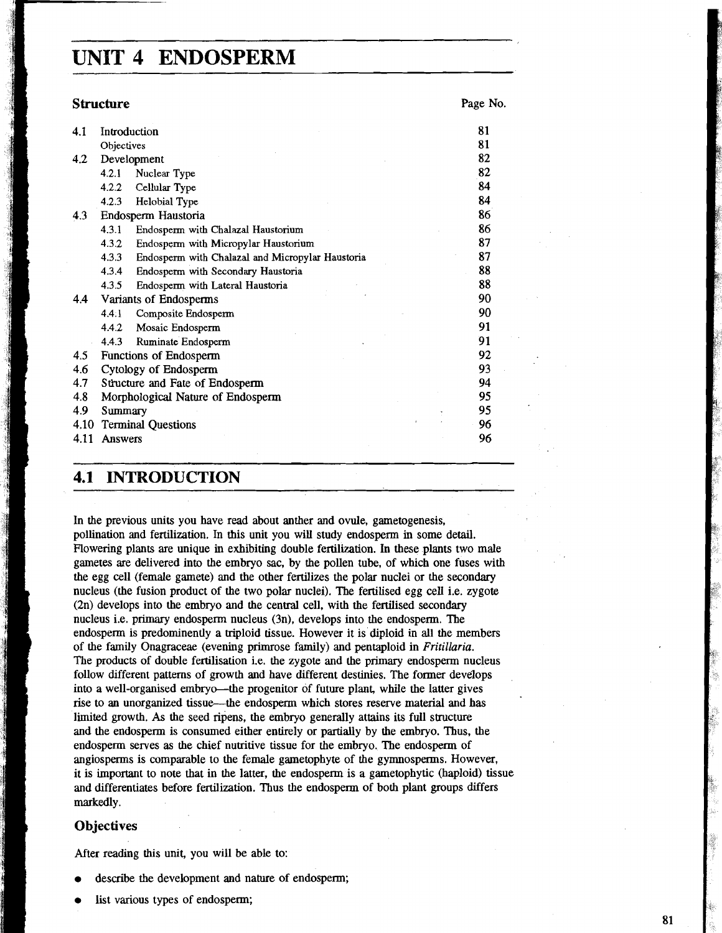# **UNIT 4 ENDOSPERM**

|      | <b>Structure</b>                                                                                                                                                |  | Page No.       |
|------|-----------------------------------------------------------------------------------------------------------------------------------------------------------------|--|----------------|
| 4.1  | Introduction                                                                                                                                                    |  | 81             |
|      | Objectives                                                                                                                                                      |  | 81             |
| 4.2  | Development                                                                                                                                                     |  | 82             |
|      | 4.2.1<br>Nuclear Type                                                                                                                                           |  | 82             |
|      | Cellular Type<br>4.2.2                                                                                                                                          |  | 84             |
|      | Helobial Type<br>4.2.3                                                                                                                                          |  | 84             |
| 4.3  | Endosperm Haustoria                                                                                                                                             |  | 86             |
|      | 4.3.1<br>Endosperm with Chalazal Haustorium                                                                                                                     |  | 86             |
|      | 4.3.2<br>Endosperm with Micropylar Haustorium                                                                                                                   |  | 87             |
|      | 4.3.3<br>Endosperm with Chalazal and Micropylar Haustoria                                                                                                       |  | 87             |
|      | 4.3.4<br>Endosperm with Secondary Haustoria                                                                                                                     |  | 88             |
|      | 4.3.5<br>Endosperm with Lateral Haustoria                                                                                                                       |  | 88             |
| 4.4  | Variants of Endosperms                                                                                                                                          |  | 90             |
|      | 4.4.1<br>Composite Endosperm                                                                                                                                    |  | 90             |
|      | 4.4.2<br>Mosaic Endosperm                                                                                                                                       |  | 91             |
|      | Ruminate Endosperm<br>4.4.3                                                                                                                                     |  | 91             |
| 4.5  | Functions of Endosperm<br>Cytology of Endosperm<br>Structure and Fate of Endosperm<br>Morphological Nature of Endosperm<br>Summary<br><b>Terminal Questions</b> |  | 92             |
| 4.6  |                                                                                                                                                                 |  | 93<br>94<br>95 |
| 4.7  |                                                                                                                                                                 |  |                |
| 4.8  |                                                                                                                                                                 |  |                |
| 4.9  |                                                                                                                                                                 |  | 95             |
| 4.10 |                                                                                                                                                                 |  | 96             |
| 4.11 | <b>Answers</b>                                                                                                                                                  |  | 96             |
| 4.1  | <b>INTRODUCTION</b>                                                                                                                                             |  |                |

## **4.1 INTRODUCTION**

In the previous units you have read about anther and ovule, gametogenesis, pollination and fertilization. In this unit you will study endosperm in some detail. Rowering plants are unique in exhibiting double fertilization. In these plants two male gametes are delivered into the embryo sac, by the pollen tube, of which one fuses with the egg cell (female gamete) and the other fertilizes the polar nuclei or the secondary nucleus (the fusion product of the two polar nuclei). The fertilised egg cell i.e. zygote (2n) develops into the embryo and the central cell, with the fertilised secondary nucleus i.e. primary endosperm nucleus (3n), develops into the endosperm. The endosperm is predominently a triploid tissue. However it is diploid in all the members of the family Onagraceae (evening primrose family) and pentaploid in *Fritillaria.*  The products of double fertilisation i.e. the zygote and the primary endosperm nucleus follow different patterns of growth and have different destinies. The former develops into a well-organised embryo-the progenitor of future plant, while the latter gives rise to an unorganized tissue—the endosperm which stores reserve material and has limited growth. As the seed ripens, the embryo generally attains its full structure and the endosperm is consumed either entirely or partially by the embryo. Thus, the endosperm serves **as** the chief nutritive tissue for the embryo. The endosperm of angiosperms is comparable to the female gametophyte of the gymnosperms. However, it is important to note that in the latter, the endosperm is a gametophytic (haploid) tissue and differentiates before fertilization. Thus the endosperm of both plant groups differs markedly.

### **Objectives**

After reading this unit, you will be able to:

- describe the development and nature of endosperm;
- list various types of endosperm;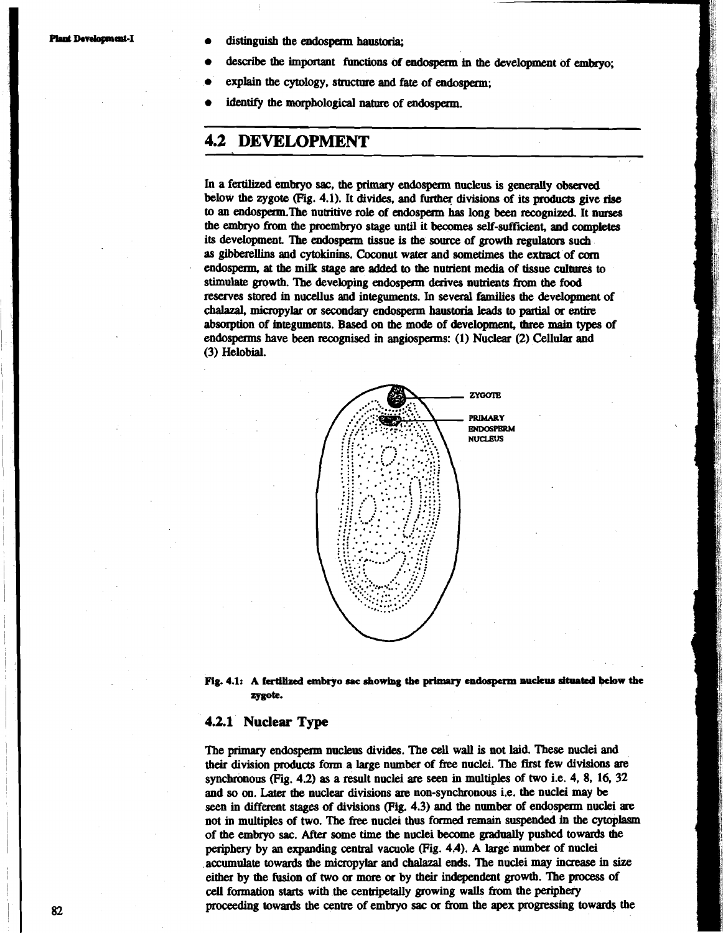**Plant Development-I e** distinguish the endosperm haustoria:

- describe the important functions of endosperm in the development of embryo;
- explain the cytology, structure and fate of endosperm;
- identify the morphological nature of endosperm.

## **4.2 DEVELOPMENT**

In a fertilized embryo sac, the primary endosperm nucleus is generally observed below the zygote (Fig. 4.1). It divides, and further divisions of its products give rise to an endosperm. The nutritive role of endosperm has long been recognized. It nurses the embryo from the proembryo stage until it becomes self-sufficient, and completes its development. The endosperm tissue is the source of growth regulators such as gibberellins and cytokinins. Coconut water and sometimes the extract of **conr**  endosperm, at the mi& stage **are** added to the nutrient media of tissue culmres to stimulate growth. The developing endosperm derives nutrients from the food reserves stored in nucellus and integuments. In several families the development of chalazal, micropylar **or** secondary endosperm haustoria leads to partial **or** entire absorption of integuments. Based on the mode of development, three main types of endosperms have **been recognised** in angiosperms: (1) Nuclear (2) Cellular and (3) Helobial.





### **4.2.1 Nuclear Type**

The primary **endosperm** nucleus divides. The cell wall is not laid. These nuclei and their division **products** form a large number of free nuclei. The first few divisions **are**  synchronous (Fig. 4.2) as a result nuclei **are** seen in multiples of two i.e. 4, 8, 16, 32 and so **on. Later** the nuclear divisions **are** non-synchronous i.e. the nuclei may be seen in different stages of divisions (Fig. 4.3) and the numbex of endospezm nuclei **are**  not in multiples of two. The **free** nuclei **thus** formed remain suspended in the cytoplasm of the embryo **sac.** After some time the nuclei become **gradually** pushed towards the periphery by an expanding central vacuole (Fig. 4.4). **A** large number of nuclei accumulate towards the micropylar and **chalaza1** ends. 'be nuclei **may increase** in size either by the fusion of two **or** more **or** by their independent growth. 'be process of cell formation starts with the centripetally growing walls from the periphery proceeding towards the centre of embryo **sac or** from the apex progressing towards the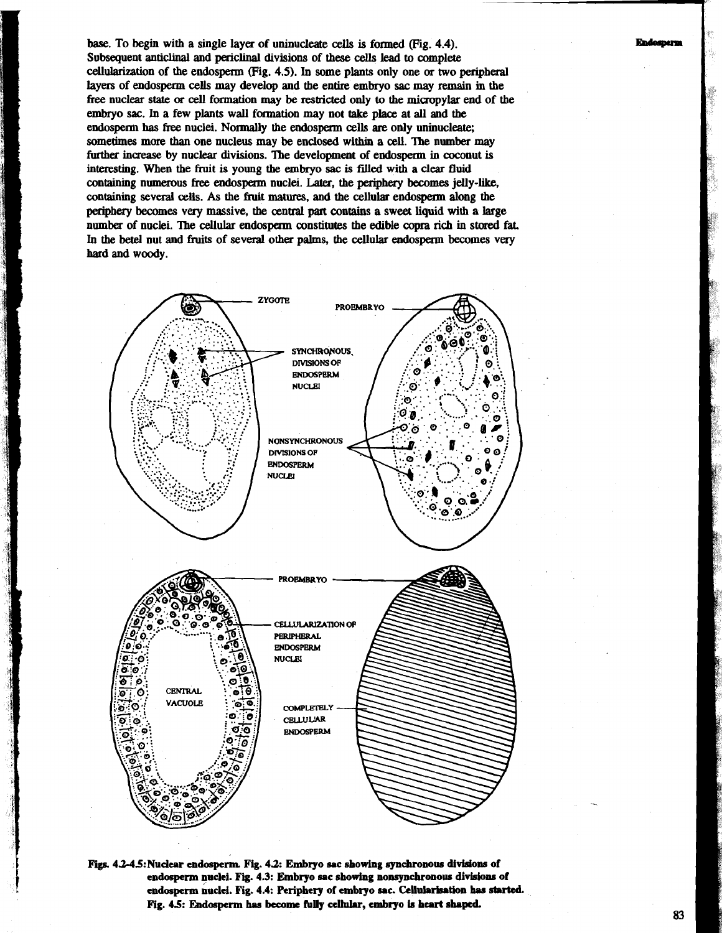**base.** To begin with a single layer of uninucleate cells is fonned (Fig. **4.4).**  Subsequent anticlinal and periclinal divisions of these cells lead to complete cellularization of the endosperm (Pig. **4.5).** In some plants only one or two peripheral laym of endosperm cells may develop and the entire embryo **sac** may remain in the **he** nuclear **state** or cell formation may be **restiued** only **to** the micropylar end of the embryo **sac.** In a few plants wall formation may not take place at all and the endosperm has free nuclei. Normally the endosperm cells are only uninucleate; sometimes more than one nucleus may be enclosed within a cell. The number may further increase by nuclear divisions. The development of endosperm in coconut is interesting. When the fruit is young **the** embryo **sac** is **filed** with a clear fluid containing numerous free endosperm nuclei. **Later,** the periphery becomes jelly-like, containing several **cells.** As the fruit **matures,** and the cellular endosperm along the periphery becomes very massive, the central part contains a sweet liquid with a large number of nuclei. 'Ibe cellular endospeam constitutes the edible **copfa rich** in stored fat. In the betel nut and fruits of several other palms, the cellular endosperm becomes very **hard** and woody.



Figs. 4.2-4.5: Nuclear endosperm. Fig. 4.2: Embryo sac showing synchronous divisions of **endosperm nuclei. Fig. 4.3: Embryo sac showing nonsynchronour divisbns of**  endosperm nuclei. Fig. 4.4: Periphery of embryo sac. Cellularisation has started. **FSg. 4.5: &dosperm has become hUy ahk, embryo b heart shaped.** 

### Endosperm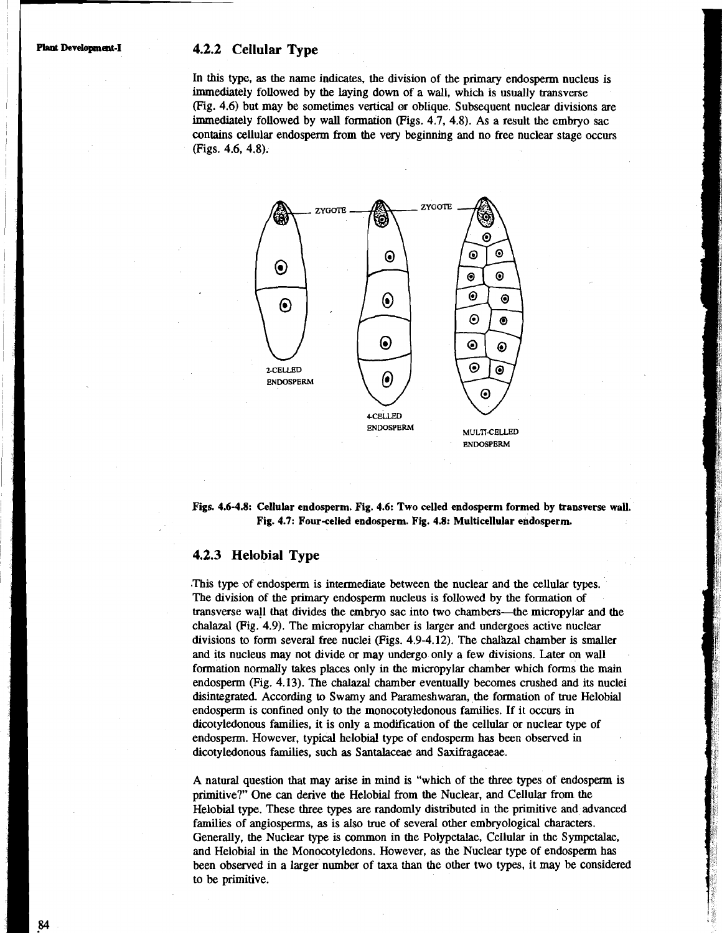### **Plant Development-I 4.2.2 Cellular Type**

In this type, as the name indicates, the division of the primary endosperm nucleus is immediately followed by the laying down of a wall, which is usually transverse (Fig. 4.6) but may be sometimes vertical or oblique. Subsequent nuclear divisions are immediately followed by wall formation (Figs. 4.7, 4.8). As a result the embryo sac contains cellular endosperm from the very beginning and no free nuclear stage occurs (Figs. 4.6, 4.8).



**Figs. 4.6-4.8: Cellular endosperm. Fig. 4.6: Two celled endosperm formed by ttansverse** wall. Fig. 4.7: Four-celled endosperm. Fig. 4.8: Multicellular endosperm.

### **4.2.3 Helobial Type**

.This type of endosperm is intermediate between the nuclear and the cellular types. The division of the primary endosperm nucleus is followed by the formation of transverse wall that divides the embryo sac into two chambers-the micropylar and the chalazal (Fig. 4.9). The micropylar chamber is larger and undergoes active nuclear divisions to form several free nuclei (Figs.  $4.9-4.12$ ). The chalazal chamber is smaller and its nucleus may not divide or may undergo only a few divisions. Later on wall formation normally takes places only in the micropylar chamber which forms the main endosperm (Fig. 4.13). The chalazal chamber eventually becomes crushed and its nuclei disintegrated. According to Swamy and Parameshwaran, the formation of true Helobial endosperm is confined only to the monocotyledonous families. If it occurs in dicotyledonous families, it is only a modification of the cellular or nuclear type of endosperm. However, typical helobial type of endosperm has been observed in dicotyledonous families, such as Santalaceae and Saxifragaceae.

A natural question that may arise in mind is "which of the three types of endosperm is primitive?" One can derive the Helobial from the Nuclear, and Cellular from the Helobial type. These three types are randomly distributed in the primitive and advanced families of angiosperms, as is also true of several other embryological characters. Generally, the Nuclear **type** is common in the Polypetalae, Cellular in the Sympetalae, and Helobial in the Monocotyledons. However, as the Nuclear type of endosperm has been observed in a larger number of taxa than the other two types, it may be considered to be primitive.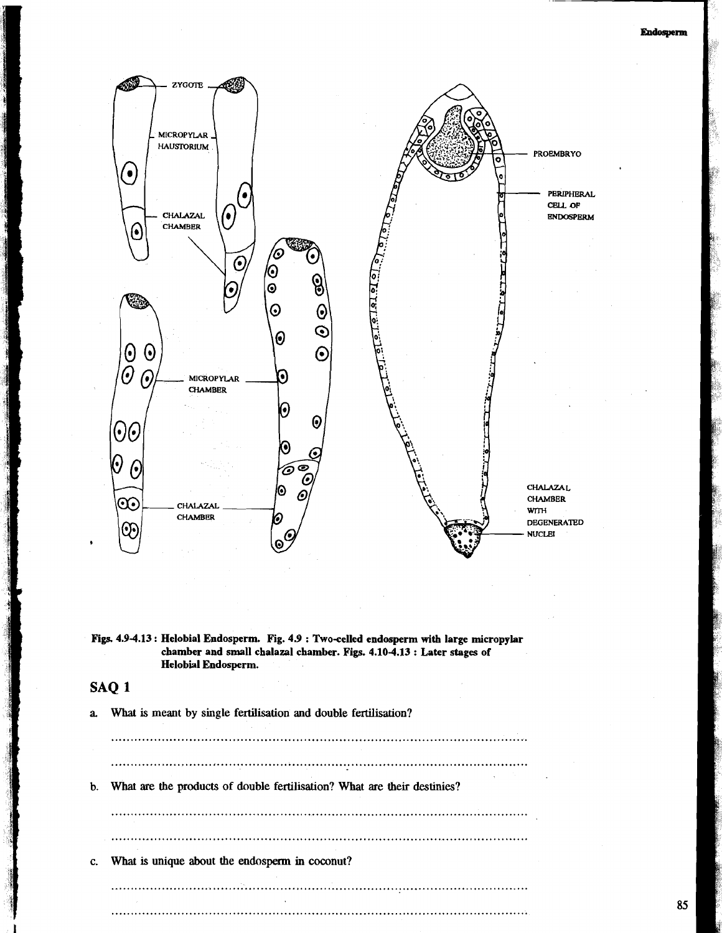**Endosperm** 



Figs. 4.9-4.13 : Helobial Endosperm. Fig. 4.9 : Two-celled endosperm with large micropylar **chamber and small chalaza1 chamber. Figs. 4.10-4.13** : **Later stages of Helobial Endosperm.** 

## **SAQ 1**

**a. What is meant by single fertilisation and double fertilisation?** 

 $\ddotsc$ **b. What are the products of double fertiliiation? What are their destinies?** 

**c. What is unique about the endosperm in coconut?** 

..........................................................................................................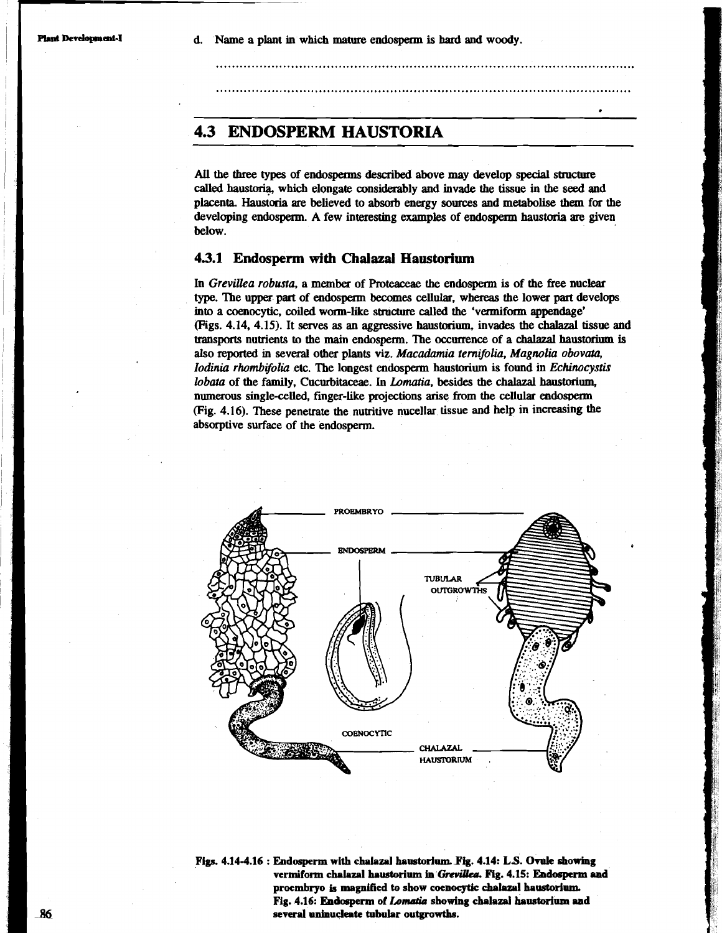## **4.3 ENDOSPERM HAUSTORIA**

All the three types of endosperms described above may develop special structure called haus\* which elongate considerably **and** invade the tissue in the **seed and**  placenta. **Haustoria are** believed to absorb energy **sources and metabolise** them for the developing endosperm. A few interesting examples of endosperm **haustoria are** given below.

....<br>.<br>.

#### **4.3.1 Endosperm with Chalazal Haustorium**

In *Grevillea robusra,* a **membex** of Proteacae the endosperm is of the **free** nuclear type. Tbe upper part of endospexm **becomes** cellular, whereas the lower part develops into a coenocytic, coiled worm-like structure called the 'vermiform appendage' (Figs. *4.14, 4.15).* It serves *as* **an** aggressive **haustorium,** invades the chalaza1 tissue and transports nutrients to the main endosperm. The occurrence of a chalazal haustorium is also **reported** in several other plants viz. *Macadamia temifolia, Magnolia obovata, Iodinia rhombifolia* etc. The longest endosperm haustorim is found in *Echinocystis lobata* of the family, Cucurbitaceae. In *Lomatia*, besides the chalazal haustorium, numetous single-celled, finger-like projections arise from the cellular endosoem (Fig. *4.16).* These penetrate the nutritive nucellar tissue and help in increasing the absorptive surface of the endosperm.



Figs. 4.14-4.16 : Endosperm with chalazal haustorium. Fig. 4.14: L.S. Ovule showing vermiform chalazal haustorium in Grevillea. Fig. 4.15: Endosperm and **proembryo** & **magnified to show coenocytic chalaza1 hauetodum.**  Fig. 4.16: Endosperm of *Lomatia* showing chalazal haustorium and **several unfnuclak tubular outgrowths.**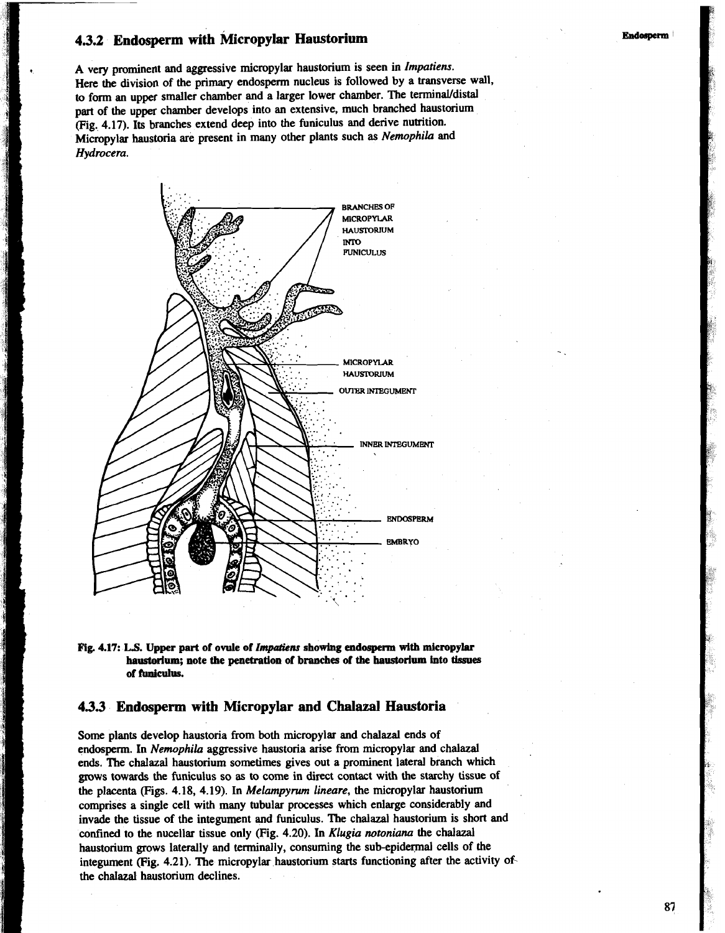## **4.3.2 Endosperm with Micropylar Haustorium**

**,** A very prominent and aggressive micmpylar haustorium is seen in *Impatiens.*  Here the division of the primary endosperm nucleus is followed by a transverse wall, to form an upper smaller chamber and a larger lower chamber. The terminal/distal part of the upper chamber develops into an extensive, much branched haustorium (Fig. **4.17).** Its branches extend deep into the funiculus and derive nutrition. <sup>I</sup>Micmpylar haustoria are present in many other plants such *as Nemophila* and *Hydrocera.* 



**Fig 4.17: LS. Upper part of ovule of** *lmputiens* **showing endospenn with micropylar haustorium; note the penetration of branches of the haustorium into tissue of runidus.** 

### **4.3.3 Endosperm with Micropylar and Chalaza1 Haustoria**

Some plants develop haustoria from both micropylar and chalazal ends of endospem. In *Nemophila* aggressive haustoria arise from micropylar and chalazal ends. The chalazal haustorium sometimes gives out a prominent lateral branch which grows towards the funiculus so **as** to come in direct contact with the starchy tissue of the placenta (Figs. **4.18, 4.19).** In *Melampynun lineare,* the micropylar haustorium comprises a single cell with many tubular processes which enlarge considerably and invade the tissue of the integument and funiculus. The chalazal haustorium is short and confined to the nucellar tissue only (Fig. 4.20). In *Klugia notoniana* the chalazal haustorium grows laterally and terminally, consuming the sub-epidermal cells of the integument (Fig. **4.21).** The micropylar haustorium starts functioning after the activity ofthe chalazal haustorium declines.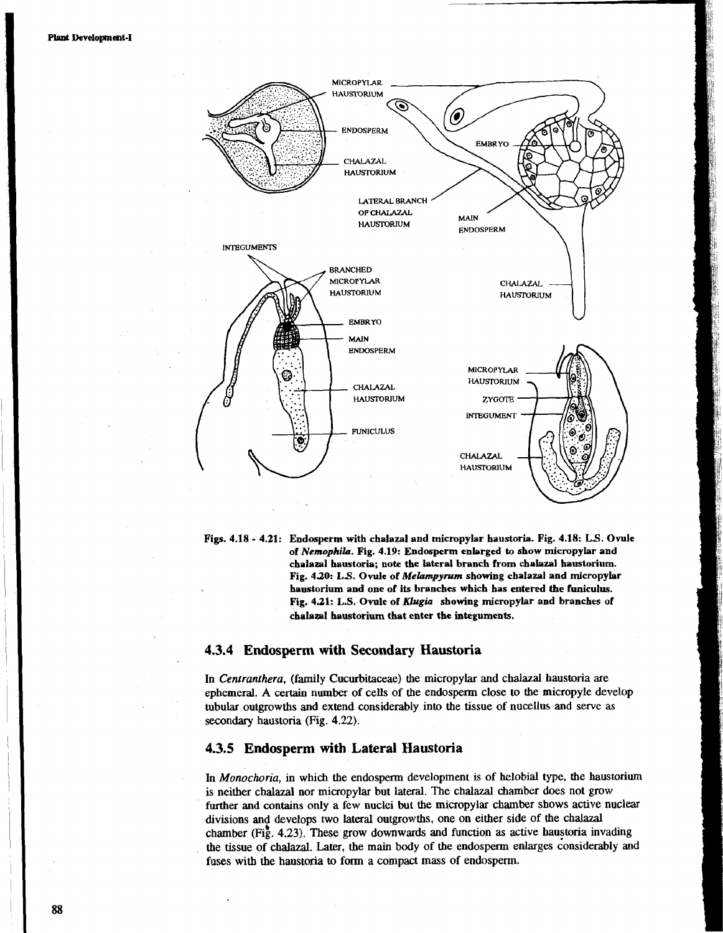

Figs. **4.18** - **4.21:** Endosperm with chalazal and micropylar haustoria. Fig. **4.18: LS.** Ovule of *Nemophila.* Fig. **4.19:** Endosperm enlarged to show micropylar and chalazal haustoria; note the lateral branch from chalazal haustorium. Fig. **4.20: LS.** Ovule of *Melampymm* showing chalazal and micropylar haustorium and one of its branches which has entered the funiculus. Fig, **4.21:** L.S. Ovule **of** *Klugiu* showing micropylar and branches of chalazal haustorium that enter the integuments.

### 4.3.4 **Endosperm with Secondary Haustoria**

In *Centranthera,* (family Cucurbitaceae) the micropylar and chalazal haustoria are ephemeral. A certain number of cells of the endospem close to the micropyle develop tubular outgrowths and extend considerably into the tissue of nucellus and serve as secondary haustoria (Fig. 4.22).

### 4.3.5 Endosperm **with** Lateral Haustoria

In *Monochoria*, in which the endosperm development is of helobial type, the haustorium is neither chalazal nor micropylar but lateral. The chalazal chamber does not grow further **and** contains only a few nuclei but the micropylar chamber shows active nuclear divisions ant develops two lateral outgrowths, one on either side of the chalazal chamber (Fig. 4.23). These grow downwards and function as active haustoria invading the tissue of chalazal. Later, the main body of the endospem enlarges considerably and fuses with the haustoria to form a compact mass of endosperm.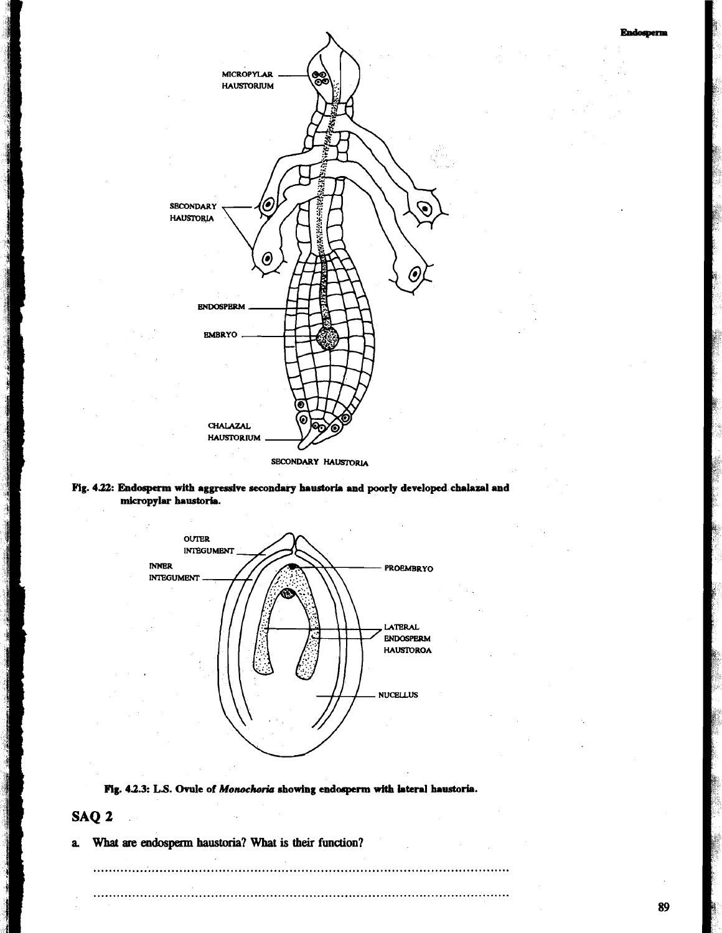



**Fig. 4a Endosperm with aggressive secondary haustoris and poorly developed chalaza1 and micropylar haustoris.** 



Fig. 4.2.3: L.S. Ovule of *Monochoria* showing endosperm with lateral haustoria.

## **SAQ 2**

 $\sim 10^7$ 

**化学者 医腹部的** 

**a What are eahpenn haustoria? What is their function?**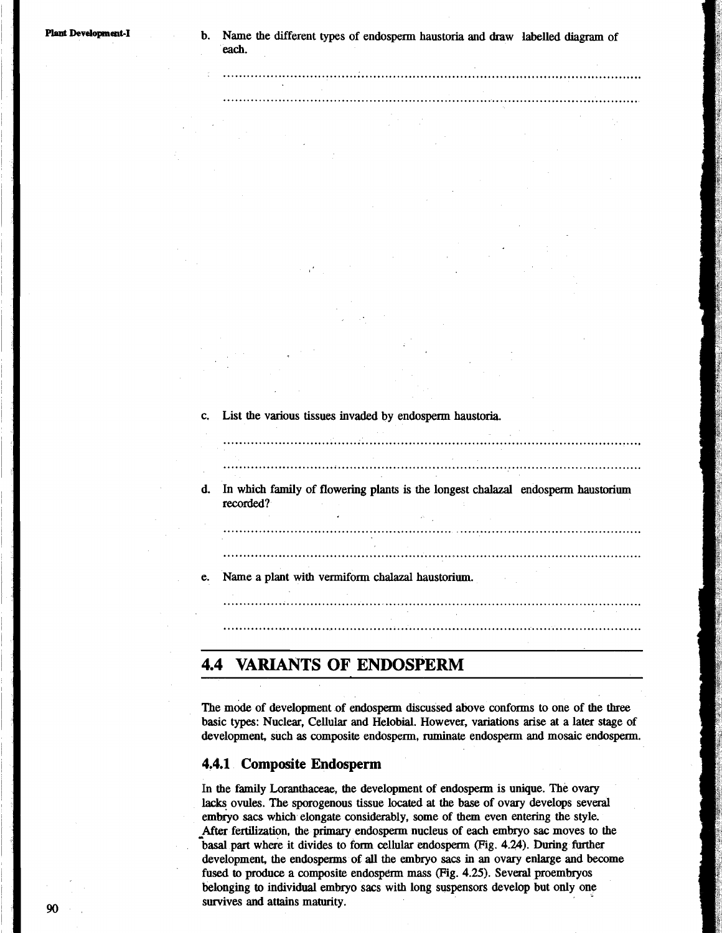c, List the various tissues invaded by endosperm haustoria. 

d. In which family of flowering plants is the longest chalazal endosperm haustorium recorded?

e. Name a plant with vermiform chalazal haustorium.

**4.4 VARIANTS OF ENDOSPERM** 

The mode of development of endosperm discussed above conforms to one of the three basic types: Nuclear, Cellular and Helobial. However, variations arise at a later stage of development, such as composite endosperm, ruminate endosperm and mosaic endosperm.

### **4.4.1 Composite Endosperm**

In the family Loranthaceae, the development of endosperm is unique. The ovary **lacks** ovules. The sporogenous tissue located at the base of ovary develops several embryo sacs which elongate considerably, some of them even entering the style. After fertilization, the primary endosperm nucleus of each embryo sac moves to the basal part where it divides to form cellular endosperm (Fig. **4.24).** During fimher development, the endospenns of **all** the embryo **sacs** in an ovary enlarge and become fused to produce a composite endosperm mass (Fig. 4.25). Several proembryos belonging to individual embryo sacs with long suspensors develop but only one survives and attains maturity.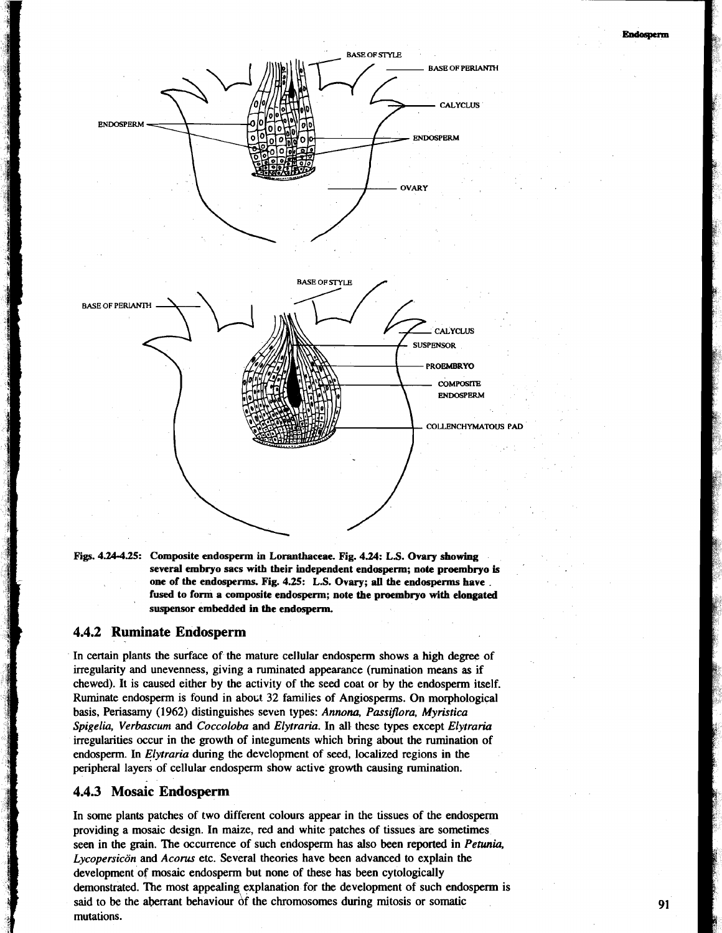

**Figs. 4.24-4.25: Composite endosperm in Loranthaceae. Fig. 4.24: L.S. Ovary showing several embryo sacs with their independent endosperm; note proembryo is** ' **one of the endosperms. Fig. 4.25: L.S. Ovary; all the endosperms have** . **fused to form a composite endosperm; note the proembryo with elongated suspensor embedded in the endosperm.** 

### **4.4.2 Ruminate Endosperm**

In certain plants the surface of the mature cellular endosperm shows a high degree of irregularity and unevenness, giving a ruminated appearance (rumination means as if chewed). It is caused either by the activity of the seed coat or by the endosperm itself. Ruminate endosperm is found in about 32 families of Angiosperms. On morphological basis, Periasamy (1962) distinguishes seven types: *Annona, Passiflora, Myristica Spigelia, Verbascum* and *Coccoloba* and *Elytrariu.* In all these types except *Elytraria*  irregularities occur in the growth of integuments which bring about the rumination of endosperm. In *Elytraria* during the development of seed, localized regions in the peripheral layers of cellular endosperm show active growth causing rumination.

### **4.4.3 Mosaic Endosperm**

In some plants patches of two different colours appear in the tissues of the endosperm providing a mosaic design. In maize, red and white patches of tissues are sometimes seen in the grain. The occurrence of such endosperm has also been reported in *Petunia, Lycopersicon* and *Acorus* etc. Several theories have been advanced to explain the development of mosaic endosperm but none of these has been cytologically demonstrated. The most appealing explanation for the development of such endosperm is said to be the aberrant behaviour of the chromosomes during mitosis or somatic mutations.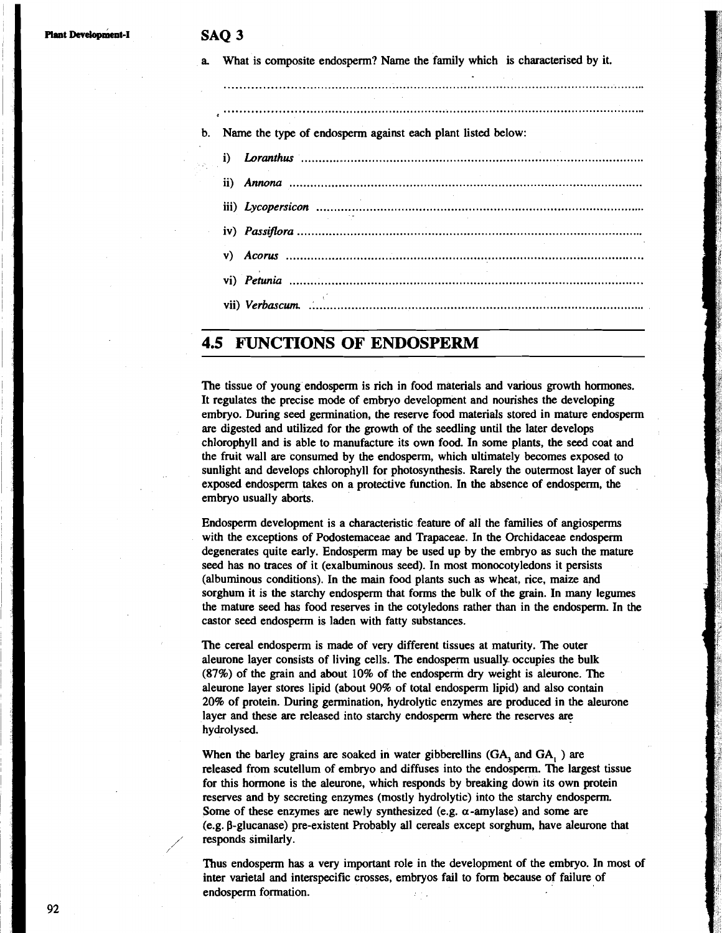| b.       | $\begin{minipage}{0.9\linewidth} \begin{tabular}{l} \hline \textbf{0.01} \end{tabular} \end{minipage} \begin{minipage}{0.9\linewidth} \begin{tabular}{l} \hline \textbf{0.01} \end{tabular} \end{minipage} \begin{minipage}{0.9\linewidth} \begin{tabular}{l} \hline \textbf{0.01} \end{tabular} \end{minipage} \end{minipage} \begin{minipage}{0.9\linewidth} \begin{tabular}{l} \hline \textbf{0.01} \end{tabular} \end{minipage} \end{minipage} \begin{minipage}{0.9\linewidth} \begin{tabular}{l} \$<br>Name the type of endosperm against each plant listed below: |  |  |  |  |
|----------|-------------------------------------------------------------------------------------------------------------------------------------------------------------------------------------------------------------------------------------------------------------------------------------------------------------------------------------------------------------------------------------------------------------------------------------------------------------------------------------------------------------------------------------------------------------------------|--|--|--|--|
| $\bf{1}$ |                                                                                                                                                                                                                                                                                                                                                                                                                                                                                                                                                                         |  |  |  |  |
|          |                                                                                                                                                                                                                                                                                                                                                                                                                                                                                                                                                                         |  |  |  |  |
|          |                                                                                                                                                                                                                                                                                                                                                                                                                                                                                                                                                                         |  |  |  |  |
|          |                                                                                                                                                                                                                                                                                                                                                                                                                                                                                                                                                                         |  |  |  |  |
|          | v)                                                                                                                                                                                                                                                                                                                                                                                                                                                                                                                                                                      |  |  |  |  |
|          |                                                                                                                                                                                                                                                                                                                                                                                                                                                                                                                                                                         |  |  |  |  |

## **4.5 FUNCTIONS OF ENDOSPERM**

The tissue of young endosperm is rich in food materials and various growth hormones. It regulates the precise mode of embryo development and nourishes the developing embryo. During seed germination, the reserve food materials stored in mature endosperm are digested and utilized for the growth of the seedling until the later develops chlorophyll and is able to manufacture its own food. In some plants, the seed coat and the fruit wall are consumed by the endosperm, which ultimately becomes exposed to sunlight and develops chlorophyll for photosynthesis. Rarely the outermost layer of such exposed endosperm takes on a protective function. In the absence of endosperm, the embryo usually aborts.

Endosperm development is a characteristic feature of all the families of angiosperms with the exceptions of Podostemaceae and Trapaceae. In the Orchidaceae endosperm degenerates quite early. Endosperm may be used up by the embryo as such the mature seed has no traces of it (exalbuminous seed). In most monocotyledons it persists (albuminous conditions). In the main food plants such as wheat, rice, maize and sorghum it is the starchy endosperm that forms the bulk of the grain. In many legumes the mature seed has food reserves in the cotyledons rather than in the endosperm. In the castor seed endosperm is laden with fatty substances.

The cereal endosperm is made of very different tissues at maturity. The outer aleurone layer consists of living cells. The endosperm usually occupies the bulk (87%) of the grain and about 10% of the endosperm dry weight is aleurone. The aleurone layer stores lipid (about 90% of total endosperm lipid) and also contain 20% of protein. During germination, hydrolytic enzymes are produced in the aleurone layer and these are released into starchy endosperm where the reserves are hydrolysed.

When the barley grains are soaked in water gibberellins (GA, and GA, ) are released from scutellum of embryo and diffuses into the endosperm. The largest tissue for this hormone is the aleurone, which responds by breaking down its own protein reserves and by secreting enzymes (mostly hydrolytic) into the starchy endosperm. Some of these enzymes are newly synthesized (e.g.  $\alpha$ -amylase) and some are  $(e.g. \beta$ -glucanase) pre-existent Probably all cereals except sorghum, have aleurone that responds similarly.

Thus endospenn has a very important role in the development of the embryo. In most of inter varietal and interspecific crosses, embryos fail to form because of failure of endosperm formation.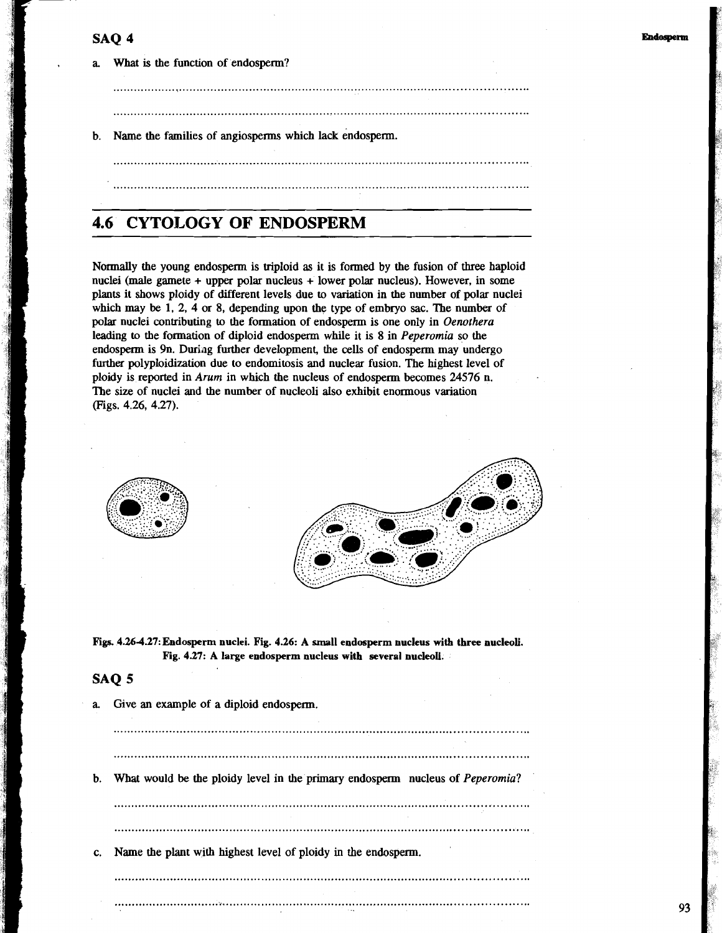**a** What is the function of endosperm?

b. Name the families of angiosperms which lack endosperm.

## **4.6 CYTO1,OGY OF ENDOSPERM**

Normally the young endosperm is triploid as it is formed by the fusion of three haploid nuclei (male gamete + upper polar nucleus + lower polar nucleus). However, in some plants it shows ploidy of different levels due to variation in the number of polar nuclei which may be 1, 2, 4 or 8, depending upon the type of embryo sac. The number of polar nuclei contributing to the formation of endosperm is one only in Oenothera leading to the formation of diploid endospenn while it is 8 in Peperomia so the endosperm is 9n. During further development, the cells of endosperm may undergo further polyploidization due to endomitosis and nuclear fusion. The highest level of ploidy is reported in Arum in which the nucleus of endosperm becomes 24576 n. The size of nuclei and the number of nucleoli also exhibit enormous variation (Figs. 4.26, 4.27).



**Fip 4.264.27:** Endosperm nuclei. **Fig. 4.26:** A small endosperm nucleus with **three** nucleoli. **Fig. 4.27: A** large endosperm nucleus **with** several nucleoli.

### **SAQ 5**

**a** Give an example of a diploid endospenn.

..................................................................................................................... b. **Wbat** would be the ploidy level in the primary endospem nucleus of Peperomia?

.....................................................................................................................

c. Name the plant with highest level of ploidy in the endosperm.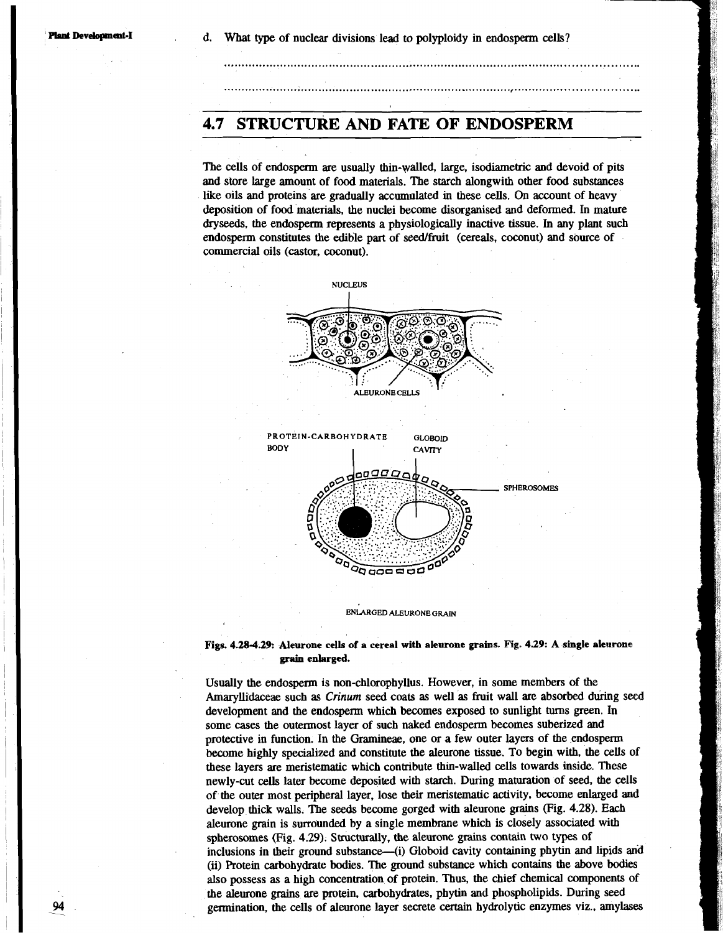## **4.7 STRUCTURE AND FATE OF ENDOSPERM**

The cells of endosperm **are** usually thin-walled, large, isodiametric and devoid of pits and store large amount of food materials. The starch alongwith other food substances like oils and proteins are gradually accumulated in these cells. On account of heavy deposition of food materials, the nuclei become disorganised and deformed. In mature dryseeds, the endosperm represents a physiologically inactive tissue. In any plant such endosperm constitutes the edible part of seedJfruit (cereals, coconut) and source of commercial oils (castor, coconut).

and the contract of the contract of the contract of the contract of the contract of the contract of the contract of the contract of the contract of the contract of the contract of the contract of the contract of the contra



**ENLARGED ALEURONE GRAIN** 

### **Figs. 4.28-4.29: Aleurone cells of a cereal with aleurone grains. Rg. 439: A single aleurons grain enlarged.**

Usually the endosperm is non-chlorophyllus. However, in some members of the Amayllidaceae such **as** *Crinum* seed coats **as** well **as** fruit wall are absorbed during seed development and the endosperm which becomes exposed to sunlight turns green. In some cases the outermost layer of such naked endospenn becomes suberized and protective in function. In the Gramineae, one or a few outer layers of the endospem become highly specialized and constitute the aleurone tissue. To begin with, the cells of these layers **are** meristematic which contribute thin-walled cells towards inside. These newly-cut cells later become deposited with starch. During maturation of seed, the cells of the outer most peripheral layer. lose their meristematic activity, become enlarged and develop thick walls. The seeds become gorged with aleurone grains (Fig. 4.28). Each aleurone grain is surrounded by a single membrane which is closely associated with spherosomes (Fig. 4.29). Structurally, the aleurone grains contain two types of inclusions in their ground substance--(i) Globoid cavity containing phytin and lipids and (ii) Protein carbohydrate bodies. The ground substance which contains the above bodies also possess as a high concentration of protein. Thus, the chief chemical components of the aleurone grains are protein, carbohydrates, phytin and phospholipids. During seed germination. the cells of aleurone layer secrete *certain* hydrolytic enzymes viz.. amylases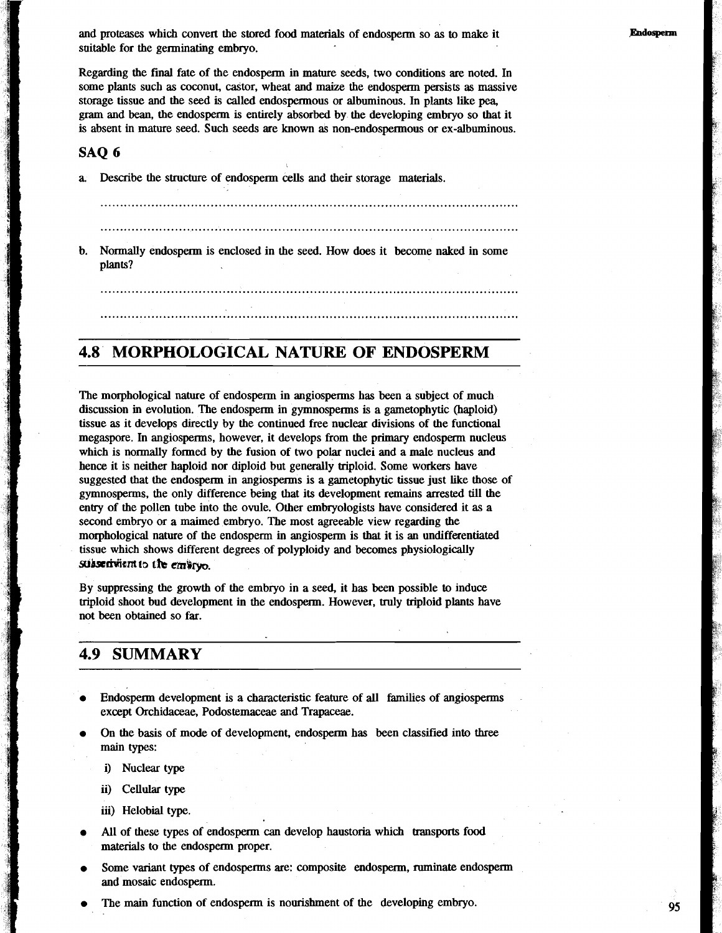and proteases which convert the stored food materials of endosperm so as to make it suitable for the germinating embryo.

Regarding the final fate of the endospenn in mature seeds, two conditions are noted. In some plants such as coconut, castor, wheat and maize the endosperm persists as massive storage tissue and the seed is called endospermous or albuminous. In plants like pea, gram and bean, the endosperm is entirely absorbed by the developing embryo so that it is absent in mature seed. Such seeds are known as non-endospermous or ex-albuminous.

### **SAQ 6**

Describe the structure of endosperm cells and their storage materials.

b. Nonnally endosperm is enclosed in the seed. How does it become naked in some plants?

## **MORPHOLOGICAL NATURE OF ENDOSPERM**

The morphological nature of endosperm in angiosperms has been a subject of much discussion in evolution. The endosperm in gymnosperms is a gametophytic (haploid) tissue as it develops directly by the continued free nuclear divisions of the functional megaspore. In angiosperms, however, it develops from the primary endosperm nucleus which is normally formed by the fusion of two polar nuclei and a male nucleus and hence it is neither haploid nor diploid but generally triploid. Some workers have suggested that the endosperm in angiosperms is a gametophytic tissue just like those of gymnosperms, the only difference being that its development remains arrested till the entry of the pollen tube into the ovule. Other embryologists have considered it as a second embryo or a maimed embryo. The most agreeable view regarding the morphological nature of the endosperm in angiosperm is that it is an undifferentiated tissue which shows different degrees of polyploidy and becomes physiologically *subserivient to the embryo.* 

By suppressing the growth of the embryo in a seed, it has been possible to induce ttiploid shoot bud development in the endosperm. However, truly triploid plants have not been obtained so far.

## **4.9 SUMMARY**

- Endosperm development is a characteristic feature of all families of angiosperms except Orchidaceae, Podostemaceae and Trapaceae.
- On the basis of mode of development, endosperm has been classified into three main types:
	- i) Nuclear type
	- ii) Cellular type
	- iii) Helobial type.
- All of these types of endosperm can develop haustoria which transports food materials to the endosperm proper.
- Some variant types of endospenns are: composite endosperm, ruminate endosperm and mosaic endosperm.
- The main function of endosperm is nourishment of the developing embryo.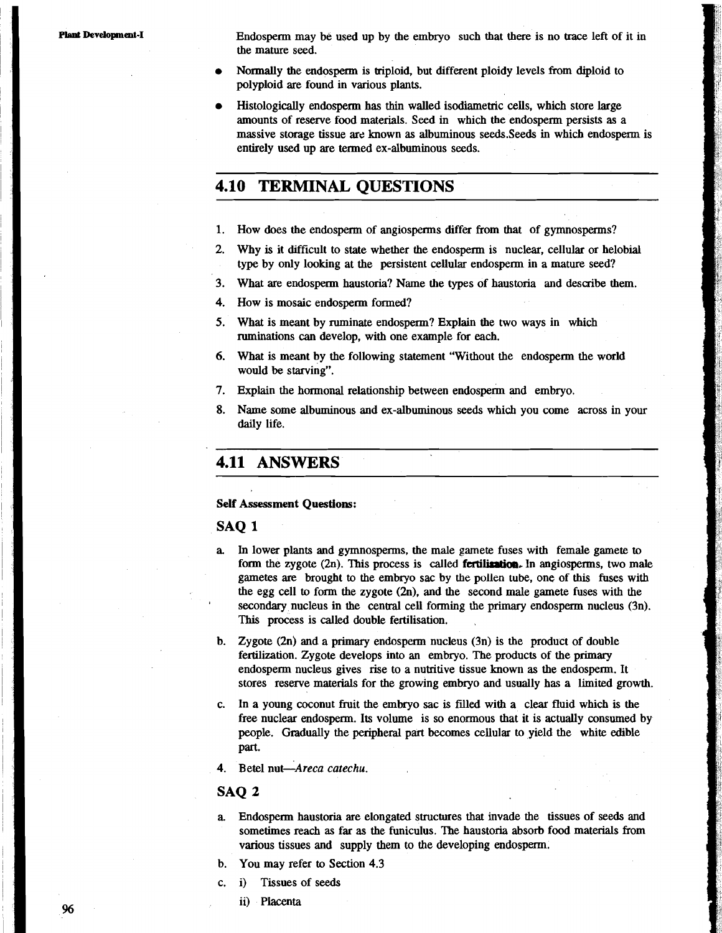Endospem may be used up by the embryo such that there is no trace left of it in the mature seed.

- Normally the endosperm is triploid, but different ploidy levels from diploid to polyploid are found in various plants.
- Histologically endospem has thin walled isodiametric cells, which store large amounts of reserve food materials. Seed in which the endosperm persists as a massive storage tissue are known as albuminous seeds. Seeds in which endosperm is entirely used up are termed ex-albuminous seeds.

## **4.10 TERMINAL QUESTIONS**

- **1.** How does the endosperm of angiosperms differ from that of gymnosperms?
- 2. Why is it difficult to state whether the endosperm is nuclear, cellular or helobial type by only looking at the persistent cellular endosperm in a mature seed?
- **3.** What are endospem haustoria? Name the types of haustoria and describe them.
- 4. How is mosaic endospem formed?
- 5. What is meant by ruminate endosperm? Explain the two ways in which ruminations can develop, with one example for each.
- 6. What is meant by the following statement "Without the endosperm the world would be starving".
- 7. Explain the hormonal relationship between endosperm and embryo.
- 8. Name some albuminous and ex-albuminous seeds which you come across in your daily life.

## **4.11 ANSWERS**

#### **Self Assessment Questions:**

### **SAQ 1**

- In lower plants and gymnosperms, the male gamete fuses with female gamete to form the zygote (2n). This process is called **fertilimim.** In angiosperms, two male gametes **are** brought to the embryo sac by the pollen Lube, one of this fuses with the egg cell to form the zygote (2n). and the second male gamete fuses with the secondary nucleus in the central cell forming the primary endosperm nucleus (3n). This process is called double fertilisation.
- b. Zygote (2n) and a **primary** endosperm nucleus (3n) is the product of double fertilization. Zygote develops into an embryo. The products of the primary endosperm nucleus gives rise to a nutritive tissue known as the endosperm. It stores reserve materials for the growing embryo and usually has a limited growth.
- c. In a young coconut fruit the embryo sac is filled with a clear fluid which is the free nuclear endosperm. Its volume is so enormous that it is actually consumed by people. Gmdually the peripheral part becomes cellular to yield the white edible part.
- 4. Betel nut-Areca catechu.

#### **SAQ 2**

- **a** Endosperm haustoria are elongated structures that invade the tissues of seeds and sometimes reach **as** far as the funiculus. The haustoria absorb food materials from various tissues and supply them to the developing endosperm.
- b. You may refer to Section 4.3
- c. i) Tissues of seeds
	- ii) Placenta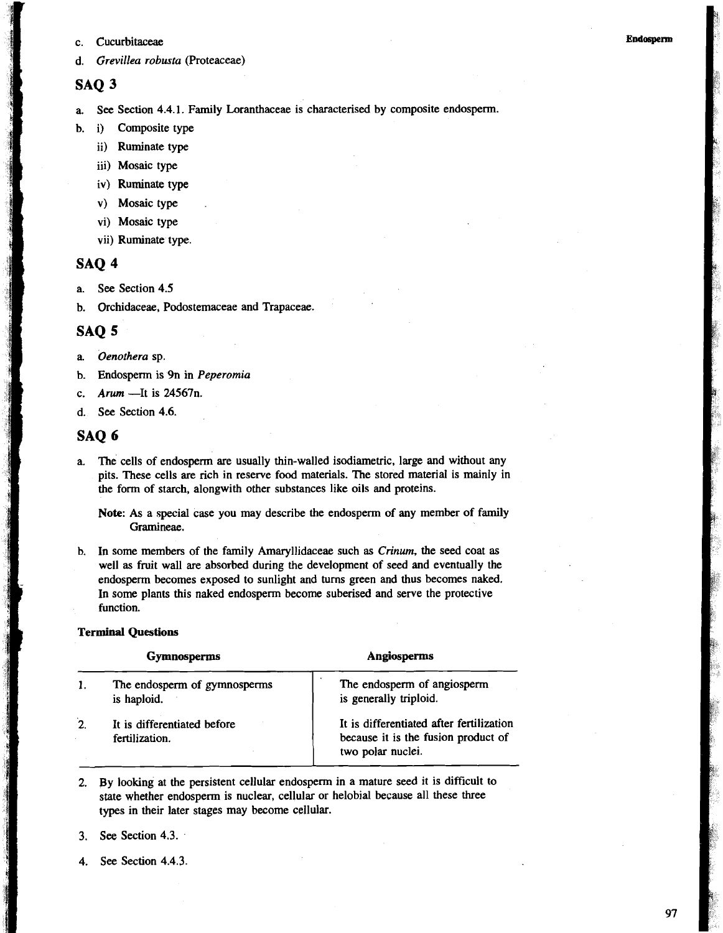c. Cucurbitaceae

### **SAQ** *3*

a. See Section **4.4.1.** Family Loranthaceae is characterised by composite endosperm.

- b. i) Composite type
	- ii) Ruminate type
	- iii) Mosaic type
	- **iv)** Ruminate type
	- v) Mosaic type
	- vi) Mosaic type
	- vii) Ruminate type.

## **SAQ 4**

- a. See Section **4.5**
- b. Orchidaceae, Podostemaceae and Trapaceae.

### **SAQ 5**

- a. *Oenothera* sp.
- b. Endosperm is 9n in *Peperomia*
- c. *Arum* -It is **24567n.**
- d. See Section **4.6.**

### **SAQ 6**

a. The cells of endosperm are usually thin-walled isodiametric, large and without any pits. These cells are rich in reserve food materials. The stored material is mainly in the form of starch, alongwith other substances like oils and proteins.

**Note:** As a special case you may describe the endosperm of any member of family Gramineae.

b. In some members of the family Amaryllidaceae such as *Crinum,* the seed coat as well as fruit wall are absorbed during the development of seed and eventually the endosperm becomes exposed to sunlight and turns green and thus becomes naked. In some plants this naked endosperm become suberised and serve the protective function.

#### **Terminal Questions**

|              | <b>Gymnosperms</b>                            | Angiosperms                                                                                          |  |
|--------------|-----------------------------------------------|------------------------------------------------------------------------------------------------------|--|
|              | The endosperm of gymnosperms<br>is haploid.   | The endosperm of angiosperm<br>is generally triploid.                                                |  |
| $\mathbf{2}$ | It is differentiated before<br>fertilization. | It is differentiated after fertilization<br>because it is the fusion product of<br>two polar nuclei. |  |

- **2.** By looking at the persistent cellular endosperm in a mature seed it is difficult to state whether endosperm is nuclear, cellular or helobial because all these three types in their later stages may become cellular.
- **3.** See Section **4.3.**
- **4.** See Section **4.4.3.**